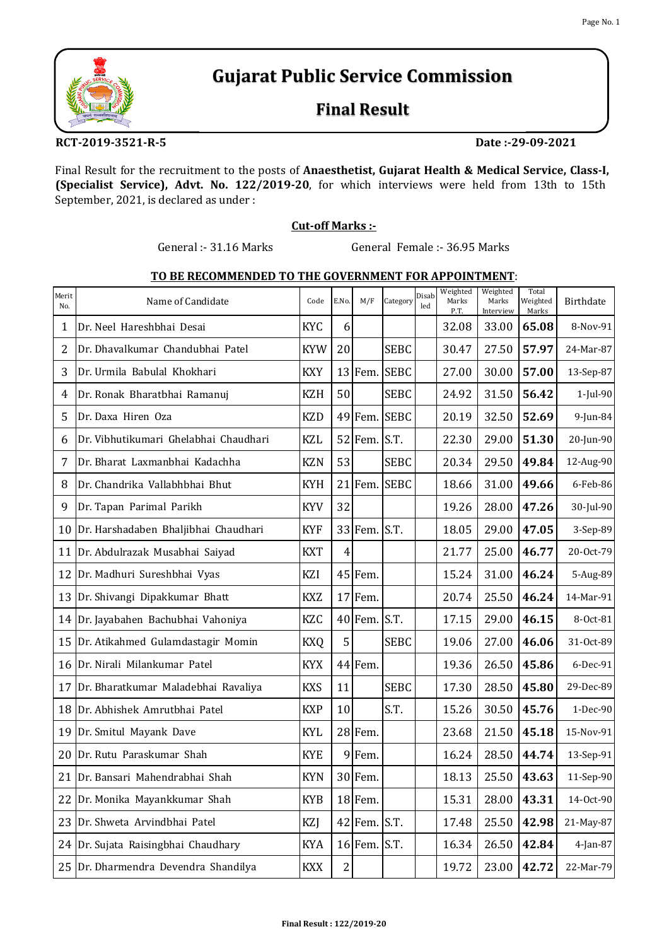

# **Gujarat Public Service Commission**

## **Final Result**

**RCT‐2019‐3521‐R‐5 Date :‐29‐09‐2021**

Final Result for the recruitment to the posts of **Anaesthetist, Gujarat Health & Medical Service, Class‐I, (Specialist Service), Advt. No. 122/2019‐20**, for which interviews were held from 13th to 15th September, 2021, is declared as under :

### **Cut‐off Marks :‐**

General :- 31.16 Marks General Female :- 36.95 Marks

### **TO BE RECOMMENDED TO THE GOVERNMENT FOR APPOINTMENT**:

| Merit<br>No.    | Name of Candidate                     | Code       | E.No.        | M/F          | Category    | Disab<br>led | Weighted<br>Marks<br>P.T. | Weighted<br>Marks<br>Interview | Total<br>Weighted<br>Marks | Birthdate |
|-----------------|---------------------------------------|------------|--------------|--------------|-------------|--------------|---------------------------|--------------------------------|----------------------------|-----------|
| 1               | Dr. Neel Hareshbhai Desai             | <b>KYC</b> | 6            |              |             |              | 32.08                     | 33.00                          | 65.08                      | 8-Nov-91  |
| 2               | Dr. Dhavalkumar Chandubhai Patel      | <b>KYW</b> | 20           |              | <b>SEBC</b> |              | 30.47                     | 27.50                          | 57.97                      | 24-Mar-87 |
| 3               | Dr. Urmila Babulal Khokhari           | <b>KXY</b> |              | $13$ Fem.    | <b>SEBC</b> |              | 27.00                     | 30.00                          | 57.00                      | 13-Sep-87 |
| 4               | Dr. Ronak Bharatbhai Ramanuj          | <b>KZH</b> | 50           |              | <b>SEBC</b> |              | 24.92                     | 31.50                          | 56.42                      | 1-Jul-90  |
| 5               | Dr. Daxa Hiren Oza                    | <b>KZD</b> |              | 49 Fem.      | <b>SEBC</b> |              | 20.19                     | 32.50                          | 52.69                      | 9-Jun-84  |
| 6               | Dr. Vibhutikumari Ghelabhai Chaudhari | <b>KZL</b> |              | $52$ Fem.    | S.T.        |              | 22.30                     | 29.00                          | 51.30                      | 20-Jun-90 |
| 7               | Dr. Bharat Laxmanbhai Kadachha        | <b>KZN</b> | 53           |              | <b>SEBC</b> |              | 20.34                     | 29.50                          | 49.84                      | 12-Aug-90 |
| 8               | Dr. Chandrika Vallabhbhai Bhut        | <b>KYH</b> | 21           | Fem.         | <b>SEBC</b> |              | 18.66                     | 31.00                          | 49.66                      | 6-Feb-86  |
| 9               | Dr. Tapan Parimal Parikh              | <b>KYV</b> | 32           |              |             |              | 19.26                     | 28.00                          | 47.26                      | 30-Jul-90 |
| 10              | Dr. Harshadaben Bhaljibhai Chaudhari  | <b>KYF</b> |              | 33 Fem. S.T. |             |              | 18.05                     | 29.00                          | 47.05                      | 3-Sep-89  |
| 11              | Dr. Abdulrazak Musabhai Saiyad        | <b>KXT</b> | 4            |              |             |              | 21.77                     | 25.00                          | 46.77                      | 20-Oct-79 |
| 12              | Dr. Madhuri Sureshbhai Vyas           | KZI        |              | $45$ Fem.    |             |              | 15.24                     | 31.00                          | 46.24                      | 5-Aug-89  |
| 13              | Dr. Shivangi Dipakkumar Bhatt         | <b>KXZ</b> |              | $17$ Fem.    |             |              | 20.74                     | 25.50                          | 46.24                      | 14-Mar-91 |
| 14              | Dr. Jayabahen Bachubhai Vahoniya      | KZC        |              | 40 Fem. S.T. |             |              | 17.15                     | 29.00                          | 46.15                      | 8-Oct-81  |
| 15              | Dr. Atikahmed Gulamdastagir Momin     | <b>KXQ</b> | 5            |              | <b>SEBC</b> |              | 19.06                     | 27.00                          | 46.06                      | 31-Oct-89 |
| 16              | Dr. Nirali Milankumar Patel           | <b>KYX</b> |              | 44 Fem.      |             |              | 19.36                     | 26.50                          | 45.86                      | 6-Dec-91  |
| 17              | Dr. Bharatkumar Maladebhai Ravaliya   | <b>KXS</b> | 11           |              | <b>SEBC</b> |              | 17.30                     | 28.50                          | 45.80                      | 29-Dec-89 |
| 18              | Dr. Abhishek Amrutbhai Patel          | <b>KXP</b> | 10           |              | S.T.        |              | 15.26                     | 30.50                          | 45.76                      | 1-Dec-90  |
| 19              | Dr. Smitul Mayank Dave                | <b>KYL</b> |              | $28$ Fem.    |             |              | 23.68                     | 21.50                          | 45.18                      | 15-Nov-91 |
| 20              | Dr. Rutu Paraskumar Shah              | <b>KYE</b> | 9            | Fem.         |             |              | 16.24                     | 28.50                          | 44.74                      | 13-Sep-91 |
| 21              | Dr. Bansari Mahendrabhai Shah         | <b>KYN</b> |              | 30 Fem.      |             |              | 18.13                     |                                | 25.50 43.63                | 11-Sep-90 |
| 22              | Dr. Monika Mayankkumar Shah           | <b>KYB</b> |              | 18 Fem.      |             |              | 15.31                     | 28.00                          | 43.31                      | 14-Oct-90 |
| 23              | Dr. Shweta Arvindbhai Patel           | KZJ        |              | 42 Fem. S.T. |             |              | 17.48                     | 25.50                          | 42.98                      | 21-May-87 |
| 24              | Dr. Sujata Raisingbhai Chaudhary      | <b>KYA</b> |              | 16 Fem. S.T. |             |              | 16.34                     | 26.50                          | 42.84                      | 4-Jan-87  |
| 25 <sup>1</sup> | Dr. Dharmendra Devendra Shandilya     | <b>KXX</b> | $\mathbf{2}$ |              |             |              | 19.72                     | 23.00                          | 42.72                      | 22-Mar-79 |